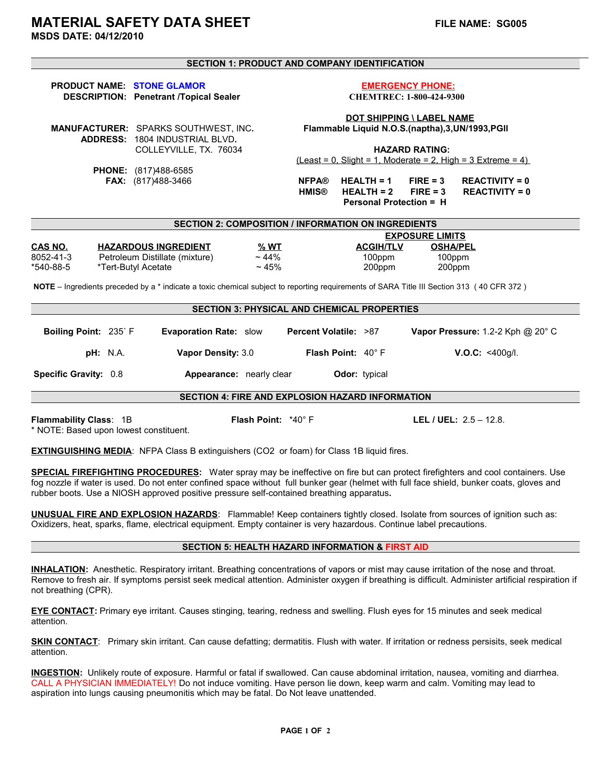**MSDS DATE: 04/12/2010**

# **SECTION 1: PRODUCT AND COMPANY IDENTIFICATION**

## **PRODUCT NAME:** STONE GLAMOR<br>DESCRIPTION: Penetrant /Topical Sealer The CHEMTREC: 1-800-424-9300  **DESCRIPTION: Penetrant /Topical Sealer**

 **PHONE:** (817)488-6585

 **ADDRESS:** 1804 INDUSTRIAL BLVD**.** 

 **DOT SHIPPING \ LABEL NAME MANUFACTURER:** SPARKS SOUTHWEST, INC**. Flammable Liquid N.O.S.(naptha),3,UN/1993,PGll** 

> COLLEYVILLE, TX. 76034 **HAZARD RATING:**   $(Least = 0, Slight = 1, Moderned$  = 2, High = 3 Extreme = 4)

 **FAX:** (817)488-3466 **NFPA® HEALTH = 1 FIRE = 3 REACTIVITY = 0 REACTIVITY = 0 Personal Protection = H**

| <b>SECTION 2: COMPOSITION / INFORMATION ON INGREDIENTS</b> |                                |           |                  |                        |  |
|------------------------------------------------------------|--------------------------------|-----------|------------------|------------------------|--|
|                                                            |                                |           |                  | <b>EXPOSURE LIMITS</b> |  |
| <b>CAS NO.</b>                                             | <b>HAZARDOUS INGREDIENT</b>    | % WT      | <b>ACGIH/TLV</b> | <b>OSHA/PEL</b>        |  |
| 8052-41-3                                                  | Petroleum Distillate (mixture) | $~14\%$   | 100ppm           | 100ppm                 |  |
| *540-88-5                                                  | *Tert-Butyl Acetate            | $~1.45\%$ | 200ppm           | 200ppm                 |  |

 **NOTE** – Ingredients preceded by a \* indicate a toxic chemical subject to reporting requirements of SARA Title III Section 313 ( 40 CFR 372 )

# **SECTION 3: PHYSICAL AND CHEMICAL PROPERTIES Boiling Point:** 235` F **Evaporation Rate:** slow **Percent Volatile:** >87 **Vapor Pressure:** 1.2-2 Kph @ 20° C  **pH:** N.A. **Vapor Density:** 3.0 **Flash Point:** 40° F **V.O.C:** <400g/l.  **Specific Gravity:** 0.8 **Appearance:** nearly clear **Odor:** typical **SECTION 4: FIRE AND EXPLOSION HAZARD INFORMATION**

**Flammability Class**: 1B **Flash Point:** \*40° F **LEL / UEL:** 2.5 – 12.8. \* NOTE: Based upon lowest constituent.

**EXTINGUISHING MEDIA:** NFPA Class B extinguishers (CO2 or foam) for Class 1B liquid fires.

**SPECIAL FIREFIGHTING PROCEDURES:** Water spray may be ineffective on fire but can protect firefighters and cool containers. Use fog nozzle if water is used. Do not enter confined space without full bunker gear (helmet with full face shield, bunker coats, gloves and rubber boots. Use a NIOSH approved positive pressure self-contained breathing apparatus**.**

**UNUSUAL FIRE AND EXPLOSION HAZARDS**: Flammable! Keep containers tightly closed. Isolate from sources of ignition such as: Oxidizers, heat, sparks, flame, electrical equipment. Empty container is very hazardous. Continue label precautions.

# **SECTION 5: HEALTH HAZARD INFORMATION & FIRST AID**

**INHALATION:** Anesthetic. Respiratory irritant. Breathing concentrations of vapors or mist may cause irritation of the nose and throat. Remove to fresh air. If symptoms persist seek medical attention. Administer oxygen if breathing is difficult. Administer artificial respiration if not breathing (CPR).

**EYE CONTACT:** Primary eye irritant. Causes stinging, tearing, redness and swelling. Flush eyes for 15 minutes and seek medical attention.

**SKIN CONTACT**: Primary skin irritant. Can cause defatting; dermatitis. Flush with water. If irritation or redness persisits, seek medical attention.

**INGESTION:** Unlikely route of exposure. Harmful or fatal if swallowed. Can cause abdominal irritation, nausea, vomiting and diarrhea. CALL A PHYSICIAN IMMEDIATELY! Do not induce vomiting. Have person lie down, keep warm and calm. Vomiting may lead to aspiration into lungs causing pneumonitis which may be fatal. Do Not leave unattended.